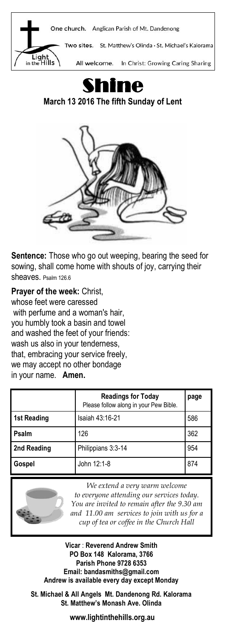



**March 13 2016 The fifth Sunday of Lent** 



**Sentence:** Those who go out weeping, bearing the seed for sowing, shall come home with shouts of joy, carrying their sheaves. Psalm 126.6

**Prayer of the week:** Christ, whose feet were caressed with perfume and a woman's hair, you humbly took a basin and towel and washed the feet of your friends: wash us also in your tenderness, that, embracing your service freely, we may accept no other bondage in your name. **Amen.**

|                    | <b>Readings for Today</b><br>Please follow along in your Pew Bible. | page |
|--------------------|---------------------------------------------------------------------|------|
| <b>1st Reading</b> | Isaiah 43:16-21                                                     | 586  |
| Psalm              | 126                                                                 | 362  |
| 2nd Reading        | Philippians 3:3-14                                                  | 954  |
| Gospel             | John 12:1-8                                                         | 874  |



*We extend a very warm welcome to everyone attending our services today. You are invited to remain after the 9.30 am and 11.00 am services to join with us for a cup of tea or coffee in the Church Hall*

**Vicar** : **Reverend Andrew Smith PO Box 148 Kalorama, 3766 Parish Phone 9728 6353 Email: bandasmiths@gmail.com Andrew is available every day except Monday**

**St. Michael & All Angels Mt. Dandenong Rd. Kalorama St. Matthew's Monash Ave. Olinda**

**www.lightinthehills.org.au**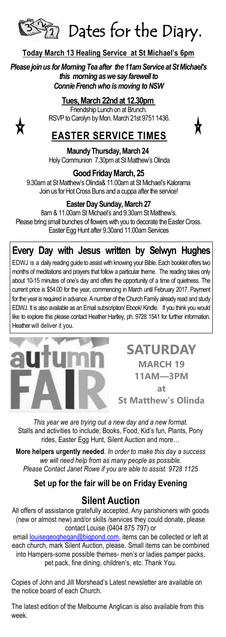

#### **Today March 13 Healing Service at St Michael's 6pm**

*Please join us for Morning Tea after the 11am Service at St Michael's this morning as we say farewell to Connie French who is moving to NSW*

#### **Tues, March 22nd at 12.30pm**

Friendship Lunch on at Brunch. RSVP to Carolyn by Mon. March 21st 9751 1436.



## **EASTER SERVICE TIMES**

**Maundy Thursday, March 24** Holy Communion 7.30pm at St Matthew's Olinda

**Good Friday March, 25**

9.30am at St Matthew's Olinda& 11.00am at St Michael's Kalorama Join us for Hot Cross Buns and a cuppa after the service!

#### **Easter Day Sunday, March 27**

8am & 11.00am St Michael's and 9.30am St Matthew's. Please bring small bunches of flowers with you to decorate the Easter Cross. Easter Egg Hunt after 9.30and 11.00am Services

### **Every Day with Jesus written by Selwyn Hughes**

EDWJ is a daily reading guide to assist with knowing your Bible. Each booklet offers two months of meditations and prayers that follow a particular theme. The reading takes only about 10-15 minutes of one's day and offers the opportunity of a time of quietness. The current price is \$54.00 for the year, commencing in March until February 2017. Payment for the year is required in advance. A number of the Church Family already read and study EDWJ. It is also available as an Email subscription/ Ebook/ Kindle. If you think you would like to explore this please contact Heather Hartley, ph. 9728 1541 for further information. Heather will deliver it you.



#### **SATURDAY MARCH 19 11AM—3PM at**

**St Matthew's Olinda**

*This year we are trying out a new day and a new format.* Stalls and activities to include; Books, Food, Kid's fun, Plants, Pony rides, Easter Egg Hunt, Silent Auction and more…

**More helpers urgently needed**. *In order to make this day a success we will need help from as many people as possible. Please Contact Janet Rowe if you are able to assist. 9728 1125*

#### **Set up for the fair will be on Friday Evening**

#### **Silent Auction**

All offers of assistance gratefully accepted. Any parishioners with goods (new or almost new) and/or skills /services they could donate, please contact Louise (0404 875 797) or

email [louisegeoghegan@bigpond.com,](mailto:louisegeoghegan@bigpond.com) items can be collected or left at each church, mark Silent Auction, please. Small items can be combined into Hampers-some possible themes- men's or ladies pamper packs, pet pack, fine dining, children's, etc. Thank You.

Copies of John and Jill Morshead's Latest newsletter are available on the notice board of each Church.

The latest edition of the Melbourne Anglican is also available from this week.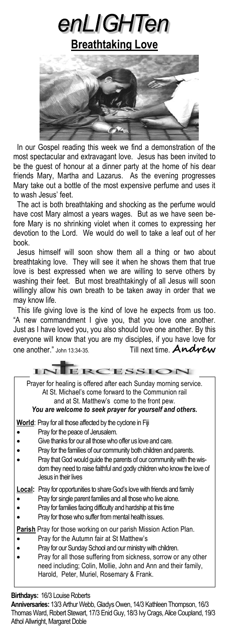enLIGHTen

**Breathtaking Love**



 In our Gospel reading this week we find a demonstration of the most spectacular and extravagant love. Jesus has been invited to be the guest of honour at a dinner party at the home of his dear friends Mary, Martha and Lazarus. As the evening progresses Mary take out a bottle of the most expensive perfume and uses it to wash Jesus' feet.

 The act is both breathtaking and shocking as the perfume would have cost Mary almost a years wages. But as we have seen before Mary is no shrinking violet when it comes to expressing her devotion to the Lord. We would do well to take a leaf out of her book.

 Jesus himself will soon show them all a thing or two about breathtaking love. They will see it when he shows them that true love is best expressed when we are willing to serve others by washing their feet. But most breathtakingly of all Jesus will soon willingly allow his own breath to be taken away in order that we may know life.

 This life giving love is the kind of love he expects from us too. "A new commandment I give you, that you love one another. Just as I have loved you, you also should love one another. By this everyone will know that you are my disciples, if you have love for one another." John 13:34-35. Till next time. **Andrew**

| ERCESSION                                                                                                                                                                                                                                                                                                                                                                                                  |
|------------------------------------------------------------------------------------------------------------------------------------------------------------------------------------------------------------------------------------------------------------------------------------------------------------------------------------------------------------------------------------------------------------|
| Prayer for healing is offered after each Sunday morning service.<br>At St. Michael's come forward to the Communion rail<br>and at St. Matthew's come to the front pew.<br>You are welcome to seek prayer for yourself and others.                                                                                                                                                                          |
| World: Pray for all those affected by the cyclone in Fiji<br>Pray for the peace of Jerusalem.<br>Give thanks for our all those who offer us love and care.<br>Pray for the families of our community both children and parents.<br>Pray that God would guide the parents of our community with the wis-<br>dom they need to raise faithful and godly children who know the love of<br>Jesus in their lives |
| <b>Local:</b> Pray for opportunities to share God's love with friends and family<br>Pray for single parent families and all those who live alone.<br>Pray for families facing difficulty and hardship at this time<br>Pray for those who suffer from mental health issues.                                                                                                                                 |
| Parish Pray for those working on our parish Mission Action Plan.<br>Pray for the Autumn fair at St Matthew's<br>Pray for our Sunday School and our ministry with children.<br>Pray for all those suffering from sickness, sorrow or any other<br>need including; Colin, Mollie, John and Ann and their family,<br>Harold, Peter, Muriel, Rosemary & Frank.                                                 |

**Birthdays:** 16/3 Louise Roberts

**Anniversaries:** 13/3 Arthur Webb, Gladys Owen, 14/3 Kathleen Thompson, 16/3 Thomas Ward, Robert Stewart, 17/3 Enid Guy, 18/3 Ivy Crags, Alice Coupland, 19/3 Athol Allwright, Margaret Doble